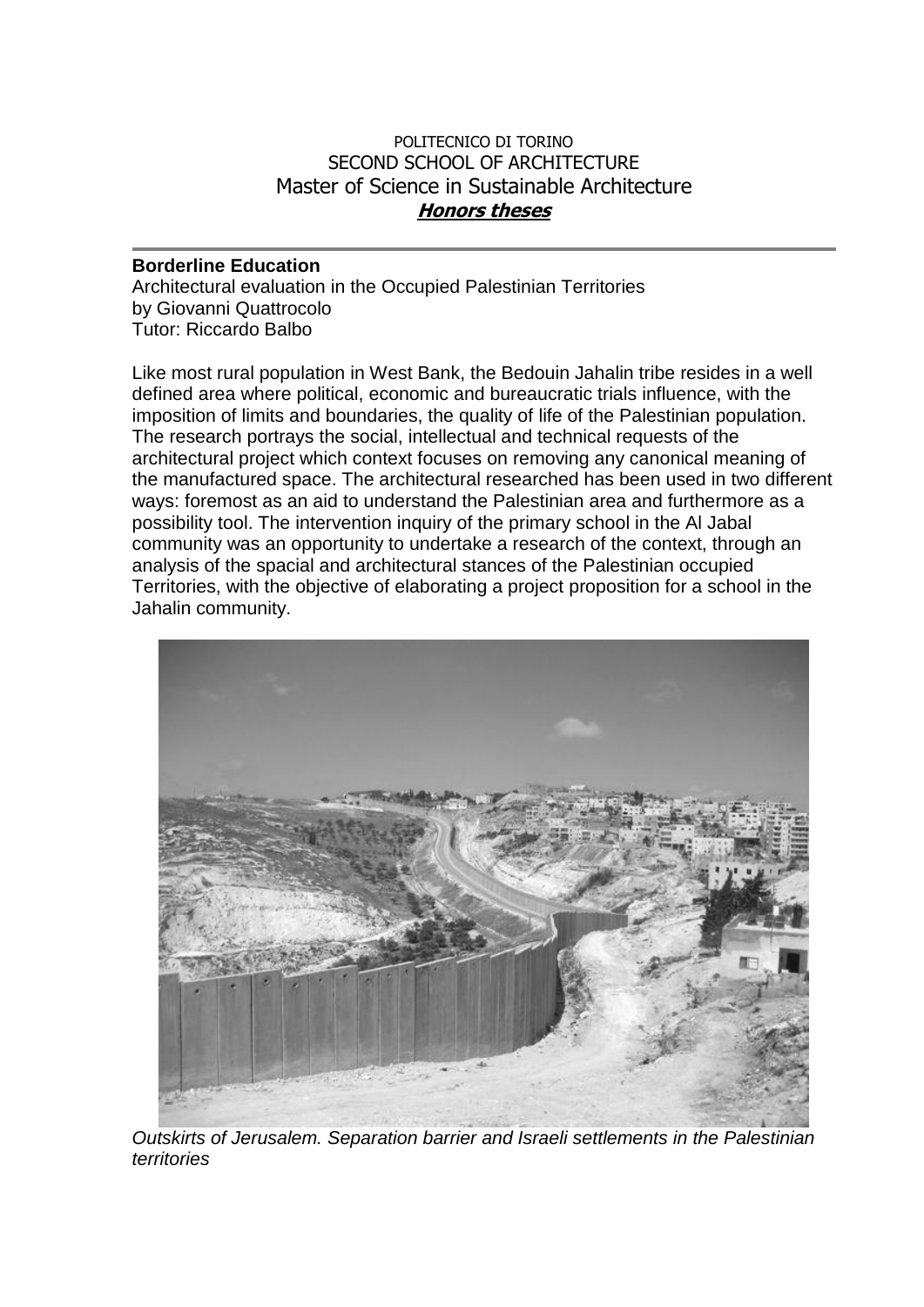## POLITECNICO DI TORINO SECOND SCHOOL OF ARCHITECTURE Master of Science in Sustainable Architecture **Honors theses**

## **Borderline Education**

Architectural evaluation in the Occupied Palestinian Territories by Giovanni Quattrocolo Tutor: Riccardo Balbo

Like most rural population in West Bank, the Bedouin Jahalin tribe resides in a well defined area where political, economic and bureaucratic trials influence, with the imposition of limits and boundaries, the quality of life of the Palestinian population. The research portrays the social, intellectual and technical requests of the architectural project which context focuses on removing any canonical meaning of the manufactured space. The architectural researched has been used in two different ways: foremost as an aid to understand the Palestinian area and furthermore as a possibility tool. The intervention inquiry of the primary school in the Al Jabal community was an opportunity to undertake a research of the context, through an analysis of the spacial and architectural stances of the Palestinian occupied Territories, with the objective of elaborating a project proposition for a school in the Jahalin community.



*Outskirts of Jerusalem. Separation barrier and Israeli settlements in the Palestinian territories*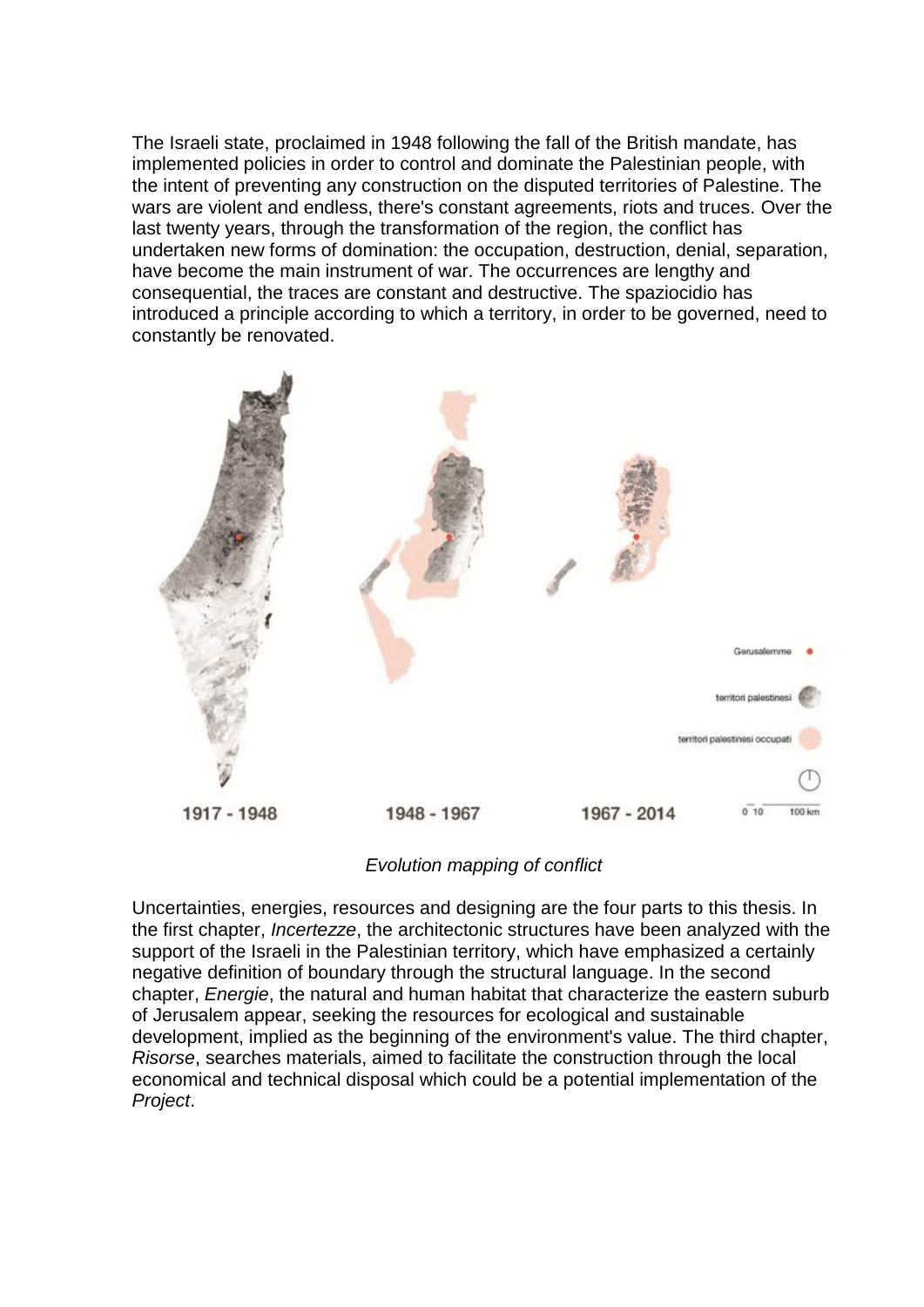The Israeli state, proclaimed in 1948 following the fall of the British mandate, has implemented policies in order to control and dominate the Palestinian people, with the intent of preventing any construction on the disputed territories of Palestine. The wars are violent and endless, there's constant agreements, riots and truces. Over the last twenty years, through the transformation of the region, the conflict has undertaken new forms of domination: the occupation, destruction, denial, separation, have become the main instrument of war. The occurrences are lengthy and consequential, the traces are constant and destructive. The spaziocidio has introduced a principle according to which a territory, in order to be governed, need to constantly be renovated.



*Evolution mapping of conflict*

Uncertainties, energies, resources and designing are the four parts to this thesis. In the first chapter, *Incertezze*, the architectonic structures have been analyzed with the support of the Israeli in the Palestinian territory, which have emphasized a certainly negative definition of boundary through the structural language. In the second chapter, *Energie*, the natural and human habitat that characterize the eastern suburb of Jerusalem appear, seeking the resources for ecological and sustainable development, implied as the beginning of the environment's value. The third chapter, *Risorse*, searches materials, aimed to facilitate the construction through the local economical and technical disposal which could be a potential implementation of the *Project*.